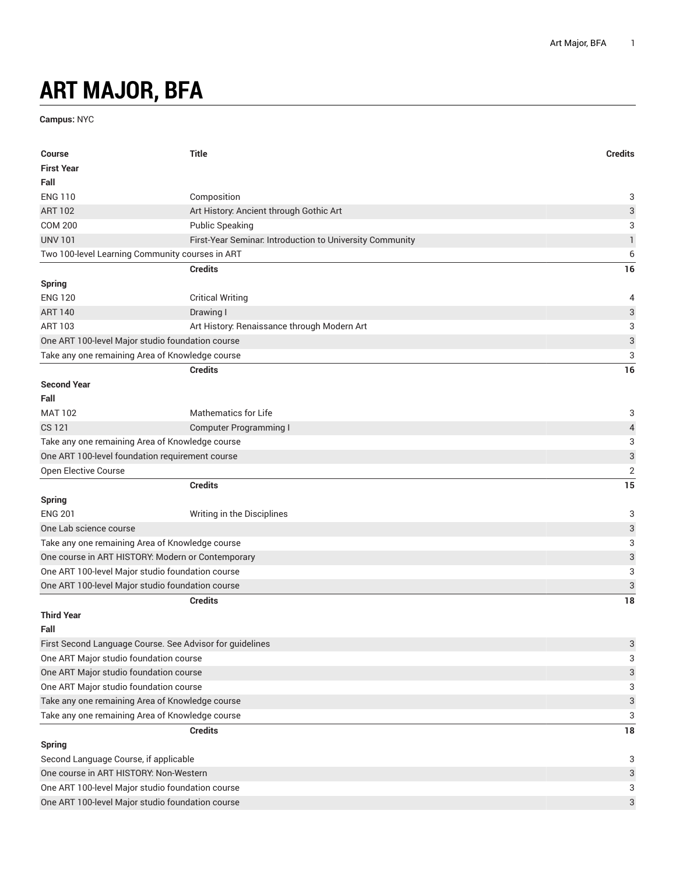## **ART MAJOR, BFA**

**Campus:** NYC

| <b>First Year</b><br>Fall<br><b>ENG 110</b><br>Composition                 |                           |  |
|----------------------------------------------------------------------------|---------------------------|--|
|                                                                            |                           |  |
|                                                                            |                           |  |
|                                                                            | 3                         |  |
| <b>ART 102</b><br>Art History: Ancient through Gothic Art                  | 3                         |  |
| <b>COM 200</b><br><b>Public Speaking</b>                                   | 3                         |  |
| <b>UNV 101</b><br>First-Year Seminar. Introduction to University Community | 1                         |  |
| Two 100-level Learning Community courses in ART                            | 6                         |  |
| <b>Credits</b>                                                             | 16                        |  |
| <b>Spring</b>                                                              |                           |  |
| <b>ENG 120</b><br><b>Critical Writing</b>                                  | 4                         |  |
| <b>ART 140</b><br>Drawing I                                                | $\ensuremath{\mathsf{3}}$ |  |
| Art History: Renaissance through Modern Art<br>ART 103                     | 3                         |  |
| One ART 100-level Major studio foundation course                           | 3                         |  |
| Take any one remaining Area of Knowledge course                            | 3                         |  |
| <b>Credits</b>                                                             | 16                        |  |
| <b>Second Year</b>                                                         |                           |  |
| Fall                                                                       |                           |  |
| <b>Mathematics for Life</b><br><b>MAT 102</b>                              | 3                         |  |
| CS 121<br><b>Computer Programming I</b>                                    | 4                         |  |
| Take any one remaining Area of Knowledge course                            | 3                         |  |
| One ART 100-level foundation requirement course                            | 3                         |  |
| Open Elective Course                                                       | $\overline{2}$            |  |
| <b>Credits</b>                                                             | 15                        |  |
| <b>Spring</b>                                                              |                           |  |
| <b>ENG 201</b><br>Writing in the Disciplines                               | 3                         |  |
| One Lab science course                                                     | 3                         |  |
| Take any one remaining Area of Knowledge course                            |                           |  |
| One course in ART HISTORY: Modern or Contemporary                          |                           |  |
| One ART 100-level Major studio foundation course                           |                           |  |
| One ART 100-level Major studio foundation course                           | 3                         |  |
| <b>Credits</b>                                                             | 18                        |  |
| <b>Third Year</b>                                                          |                           |  |
| Fall                                                                       |                           |  |
| First Second Language Course. See Advisor for guidelines                   | 3                         |  |
| One ART Major studio foundation course                                     | 3                         |  |
| One ART Major studio foundation course                                     |                           |  |
| One ART Major studio foundation course                                     | 3                         |  |
| Take any one remaining Area of Knowledge course                            |                           |  |
| Take any one remaining Area of Knowledge course                            | 3                         |  |
| <b>Credits</b>                                                             | 18                        |  |
| <b>Spring</b>                                                              |                           |  |
|                                                                            |                           |  |
| Second Language Course, if applicable                                      | 3                         |  |
| One course in ART HISTORY: Non-Western                                     | 3                         |  |
| One ART 100-level Major studio foundation course                           | 3                         |  |